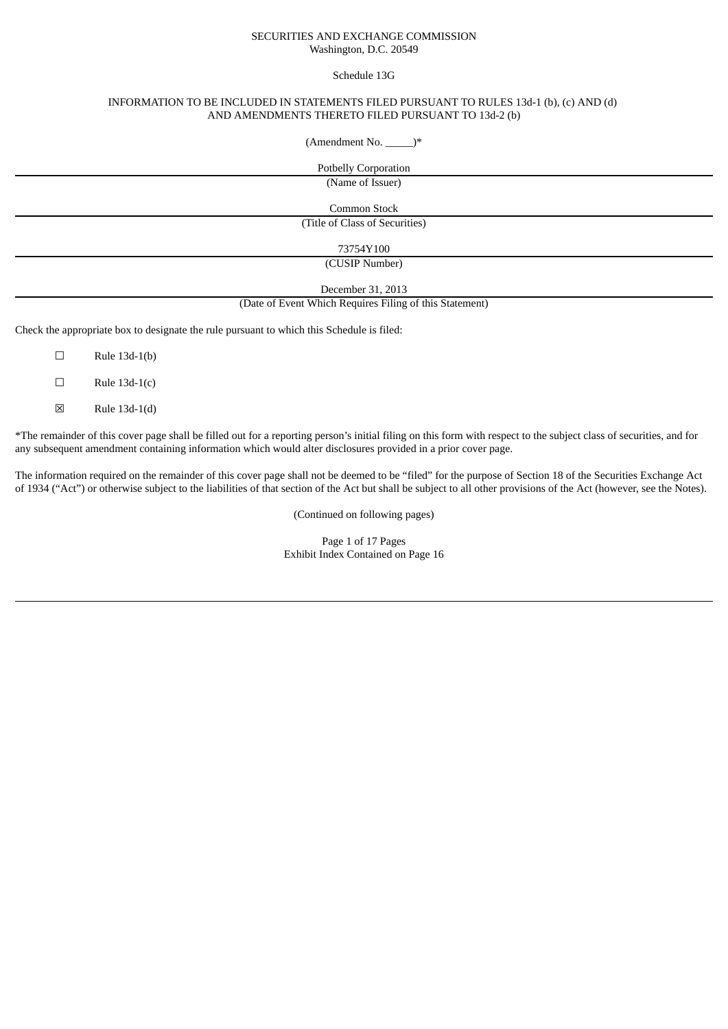## SECURITIES AND EXCHANGE COMMISSION Washington, D.C. 20549

Schedule 13G

## INFORMATION TO BE INCLUDED IN STATEMENTS FILED PURSUANT TO RULES 13d-1 (b), (c) AND (d) AND AMENDMENTS THERETO FILED PURSUANT TO 13d-2 (b)

 $(Amendment No. \_\ )*$ 

Potbelly Corporation (Name of Issuer) Common Stock (Title of Class of Securities) 73754Y100

(CUSIP Number)

December 31, 2013

(Date of Event Which Requires Filing of this Statement)

Check the appropriate box to designate the rule pursuant to which this Schedule is filed:

 $\Box$  Rule 13d-1(b)

 $\Box$  Rule 13d-1(c)

☒ Rule 13d-1(d)

\*The remainder of this cover page shall be filled out for a reporting person's initial filing on this form with respect to the subject class of securities, and for any subsequent amendment containing information which would alter disclosures provided in a prior cover page.

The information required on the remainder of this cover page shall not be deemed to be "filed" for the purpose of Section 18 of the Securities Exchange Act of 1934 ("Act") or otherwise subject to the liabilities of that section of the Act but shall be subject to all other provisions of the Act (however, see the Notes).

(Continued on following pages)

Page 1 of 17 Pages Exhibit Index Contained on Page 16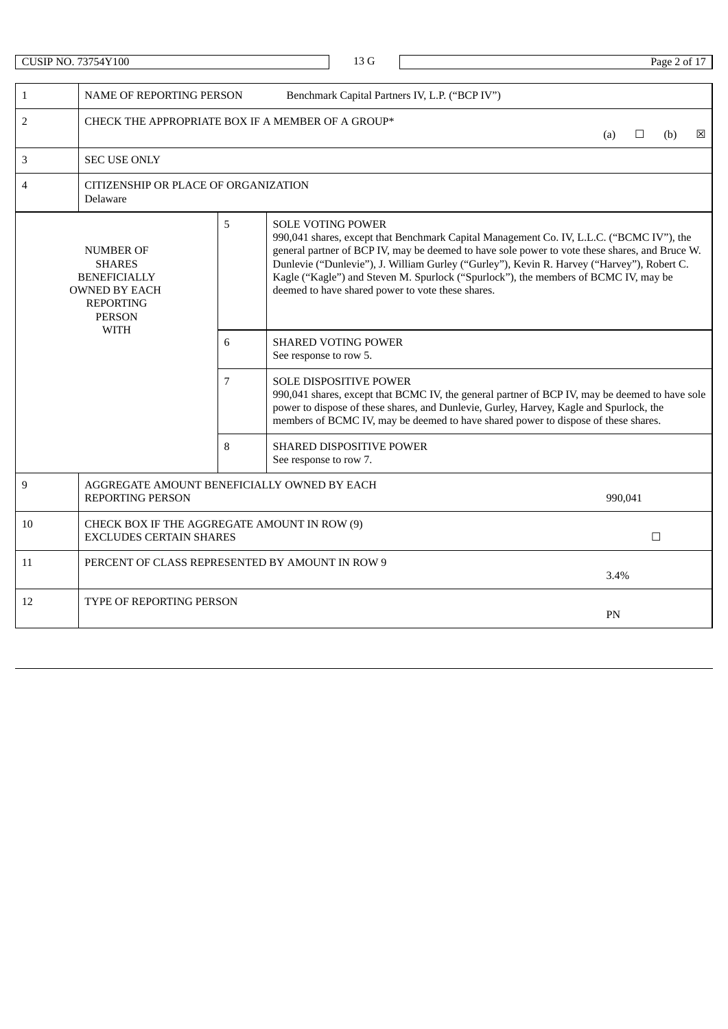|                | <b>CUSIP NO. 73754Y100</b>                                                                                            |   |                        | 13G                      |                                                                                                                                                                                                                                                                                                                                                                                                                                      |  |     |         | Page 2 of 17 |   |  |  |  |  |
|----------------|-----------------------------------------------------------------------------------------------------------------------|---|------------------------|--------------------------|--------------------------------------------------------------------------------------------------------------------------------------------------------------------------------------------------------------------------------------------------------------------------------------------------------------------------------------------------------------------------------------------------------------------------------------|--|-----|---------|--------------|---|--|--|--|--|
|                |                                                                                                                       |   |                        |                          |                                                                                                                                                                                                                                                                                                                                                                                                                                      |  |     |         |              |   |  |  |  |  |
| $\mathbf{1}$   | NAME OF REPORTING PERSON                                                                                              |   |                        |                          | Benchmark Capital Partners IV, L.P. ("BCP IV")                                                                                                                                                                                                                                                                                                                                                                                       |  |     |         |              |   |  |  |  |  |
| $\overline{2}$ | CHECK THE APPROPRIATE BOX IF A MEMBER OF A GROUP*                                                                     |   |                        |                          |                                                                                                                                                                                                                                                                                                                                                                                                                                      |  | (a) | □       | (b)          | ⊠ |  |  |  |  |
| 3              | <b>SEC USE ONLY</b>                                                                                                   |   |                        |                          |                                                                                                                                                                                                                                                                                                                                                                                                                                      |  |     |         |              |   |  |  |  |  |
| $\overline{4}$ | CITIZENSHIP OR PLACE OF ORGANIZATION<br>Delaware                                                                      |   |                        |                          |                                                                                                                                                                                                                                                                                                                                                                                                                                      |  |     |         |              |   |  |  |  |  |
|                | <b>NUMBER OF</b><br><b>SHARES</b><br><b>BENEFICIALLY</b><br><b>OWNED BY EACH</b><br><b>REPORTING</b><br><b>PERSON</b> | 5 |                        | <b>SOLE VOTING POWER</b> | 990,041 shares, except that Benchmark Capital Management Co. IV, L.L.C. ("BCMC IV"), the<br>general partner of BCP IV, may be deemed to have sole power to vote these shares, and Bruce W.<br>Dunlevie ("Dunlevie"), J. William Gurley ("Gurley"), Kevin R. Harvey ("Harvey"), Robert C.<br>Kagle ("Kagle") and Steven M. Spurlock ("Spurlock"), the members of BCMC IV, may be<br>deemed to have shared power to vote these shares. |  |     |         |              |   |  |  |  |  |
|                | <b>WITH</b><br>6<br><b>SHARED VOTING POWER</b><br>See response to row 5.                                              |   |                        |                          |                                                                                                                                                                                                                                                                                                                                                                                                                                      |  |     |         |              |   |  |  |  |  |
|                | $7\overline{ }$                                                                                                       |   |                        |                          | <b>SOLE DISPOSITIVE POWER</b><br>990,041 shares, except that BCMC IV, the general partner of BCP IV, may be deemed to have sole<br>power to dispose of these shares, and Dunlevie, Gurley, Harvey, Kagle and Spurlock, the<br>members of BCMC IV, may be deemed to have shared power to dispose of these shares.                                                                                                                     |  |     |         |              |   |  |  |  |  |
|                |                                                                                                                       | 8 | See response to row 7. | SHARED DISPOSITIVE POWER |                                                                                                                                                                                                                                                                                                                                                                                                                                      |  |     |         |              |   |  |  |  |  |
| 9              | AGGREGATE AMOUNT BENEFICIALLY OWNED BY EACH<br>REPORTING PERSON                                                       |   |                        |                          |                                                                                                                                                                                                                                                                                                                                                                                                                                      |  |     | 990,041 |              |   |  |  |  |  |
| 10             | CHECK BOX IF THE AGGREGATE AMOUNT IN ROW (9)<br><b>EXCLUDES CERTAIN SHARES</b>                                        |   |                        |                          |                                                                                                                                                                                                                                                                                                                                                                                                                                      |  |     |         | $\Box$       |   |  |  |  |  |
| 11             | PERCENT OF CLASS REPRESENTED BY AMOUNT IN ROW 9                                                                       |   |                        |                          |                                                                                                                                                                                                                                                                                                                                                                                                                                      |  |     | 3.4%    |              |   |  |  |  |  |
| 12             | <b>TYPE OF REPORTING PERSON</b>                                                                                       |   |                        |                          |                                                                                                                                                                                                                                                                                                                                                                                                                                      |  | PN  |         |              |   |  |  |  |  |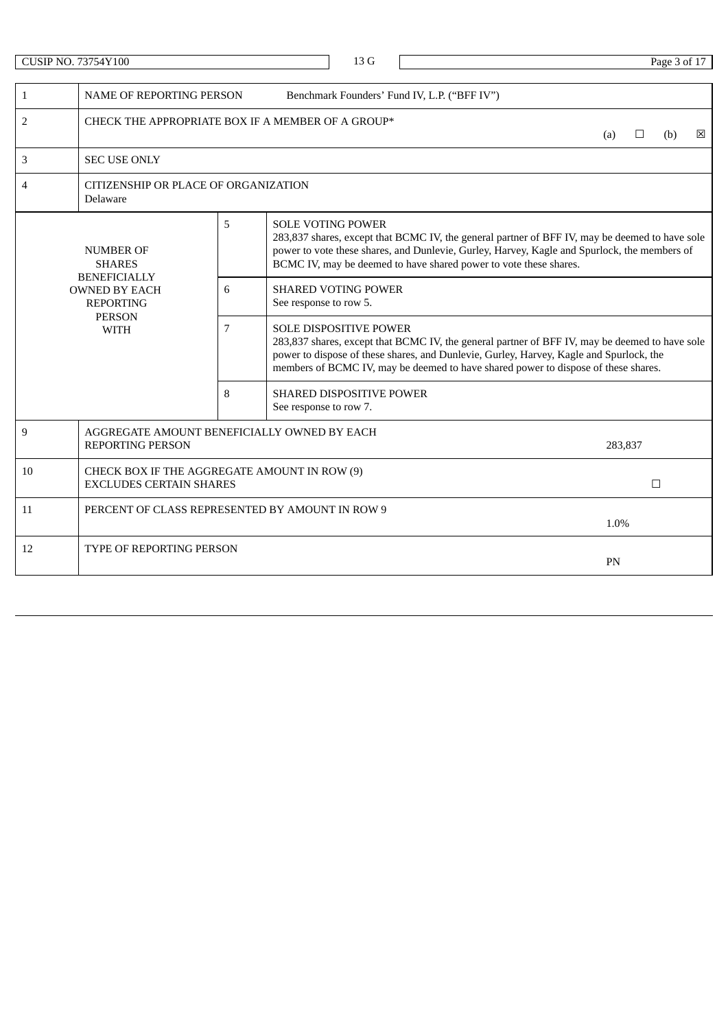|                | <b>CUSIP NO. 73754Y100</b>                                                                      |   | 13G                                                                                                                                                                                                                                                                                                              |      |         | Page 3 of 17 |   |  |
|----------------|-------------------------------------------------------------------------------------------------|---|------------------------------------------------------------------------------------------------------------------------------------------------------------------------------------------------------------------------------------------------------------------------------------------------------------------|------|---------|--------------|---|--|
| $\mathbf{1}$   | NAME OF REPORTING PERSON                                                                        |   | Benchmark Founders' Fund IV, L.P. ("BFF IV")                                                                                                                                                                                                                                                                     |      |         |              |   |  |
| $\overline{2}$ | CHECK THE APPROPRIATE BOX IF A MEMBER OF A GROUP*                                               |   |                                                                                                                                                                                                                                                                                                                  | (a)  | □       | (b)          | ⊠ |  |
| 3              | <b>SEC USE ONLY</b>                                                                             |   |                                                                                                                                                                                                                                                                                                                  |      |         |              |   |  |
| 4              | CITIZENSHIP OR PLACE OF ORGANIZATION<br>Delaware                                                |   |                                                                                                                                                                                                                                                                                                                  |      |         |              |   |  |
|                | <b>NUMBER OF</b><br><b>SHARES</b>                                                               | 5 | <b>SOLE VOTING POWER</b><br>283,837 shares, except that BCMC IV, the general partner of BFF IV, may be deemed to have sole<br>power to vote these shares, and Dunlevie, Gurley, Harvey, Kagle and Spurlock, the members of<br>BCMC IV, may be deemed to have shared power to vote these shares.                  |      |         |              |   |  |
|                | <b>BENEFICIALLY</b><br><b>OWNED BY EACH</b><br><b>REPORTING</b><br><b>PERSON</b><br><b>WITH</b> |   | <b>SHARED VOTING POWER</b><br>See response to row 5.                                                                                                                                                                                                                                                             |      |         |              |   |  |
|                |                                                                                                 |   | <b>SOLE DISPOSITIVE POWER</b><br>283,837 shares, except that BCMC IV, the general partner of BFF IV, may be deemed to have sole<br>power to dispose of these shares, and Dunlevie, Gurley, Harvey, Kagle and Spurlock, the<br>members of BCMC IV, may be deemed to have shared power to dispose of these shares. |      |         |              |   |  |
|                |                                                                                                 | 8 | <b>SHARED DISPOSITIVE POWER</b><br>See response to row 7.                                                                                                                                                                                                                                                        |      |         |              |   |  |
| 9              | AGGREGATE AMOUNT BENEFICIALLY OWNED BY EACH<br><b>REPORTING PERSON</b>                          |   |                                                                                                                                                                                                                                                                                                                  |      | 283,837 |              |   |  |
| 10             | CHECK BOX IF THE AGGREGATE AMOUNT IN ROW (9)<br><b>EXCLUDES CERTAIN SHARES</b>                  |   |                                                                                                                                                                                                                                                                                                                  |      |         | $\Box$       |   |  |
| 11             | PERCENT OF CLASS REPRESENTED BY AMOUNT IN ROW 9                                                 |   |                                                                                                                                                                                                                                                                                                                  | 1.0% |         |              |   |  |
| 12             | <b>TYPE OF REPORTING PERSON</b>                                                                 |   |                                                                                                                                                                                                                                                                                                                  | PN   |         |              |   |  |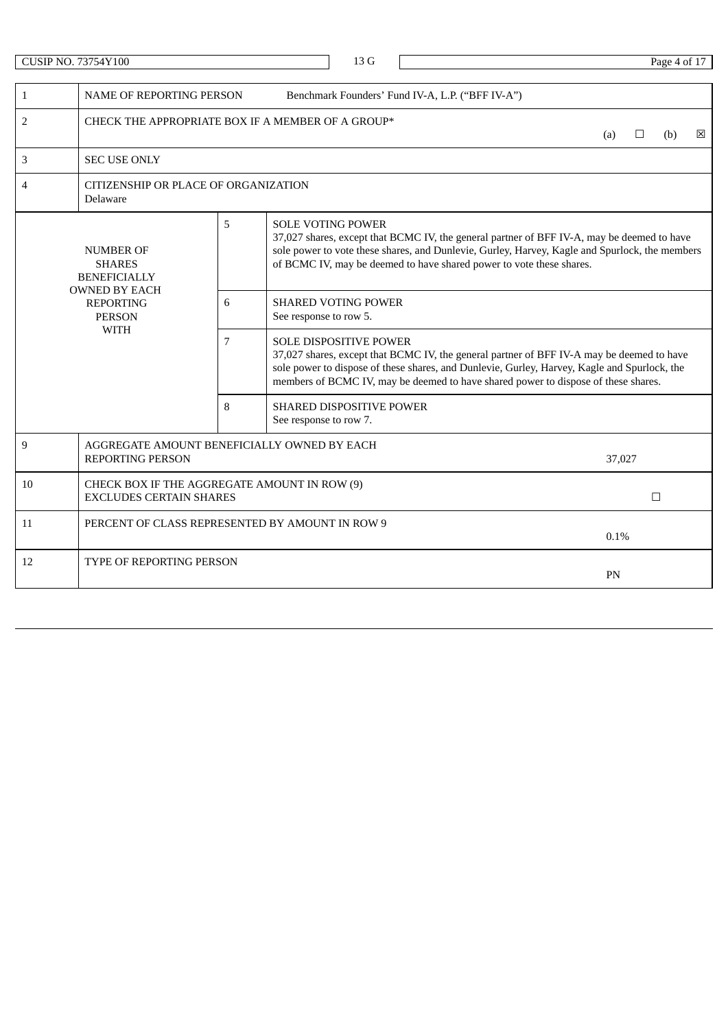CUSIP NO. 73754Y100 Page 4 of 17 1 NAME OF REPORTING PERSON Benchmark Founders' Fund IV-A, L.P. ("BFF IV-A") 2 CHECK THE APPROPRIATE BOX IF A MEMBER OF A GROUP\* (a)  $\Box$  (b)  $\boxtimes$ 3 SEC USE ONLY 4 CITIZENSHIP OR PLACE OF ORGANIZATION Delaware NUMBER OF SHARES BENEFICIALLY OWNED BY EACH REPORTING PERSON WITH 5 SOLE VOTING POWER 37,027 shares, except that BCMC IV, the general partner of BFF IV-A, may be deemed to have sole power to vote these shares, and Dunlevie, Gurley, Harvey, Kagle and Spurlock, the members of BCMC IV, may be deemed to have shared power to vote these shares. 6 SHARED VOTING POWER See response to row 5. 7 SOLE DISPOSITIVE POWER 37,027 shares, except that BCMC IV, the general partner of BFF IV-A may be deemed to have sole power to dispose of these shares, and Dunlevie, Gurley, Harvey, Kagle and Spurlock, the members of BCMC IV, may be deemed to have shared power to dispose of these shares. 8 SHARED DISPOSITIVE POWER See response to row 7. 9 AGGREGATE AMOUNT BENEFICIALLY OWNED BY EACH REPORTING PERSON 37,027 10 CHECK BOX IF THE AGGREGATE AMOUNT IN ROW (9) EXCLUDES CERTAIN SHARES  $\Box$ 11 PERCENT OF CLASS REPRESENTED BY AMOUNT IN ROW 9 0.1% 12 TYPE OF REPORTING PERSON PN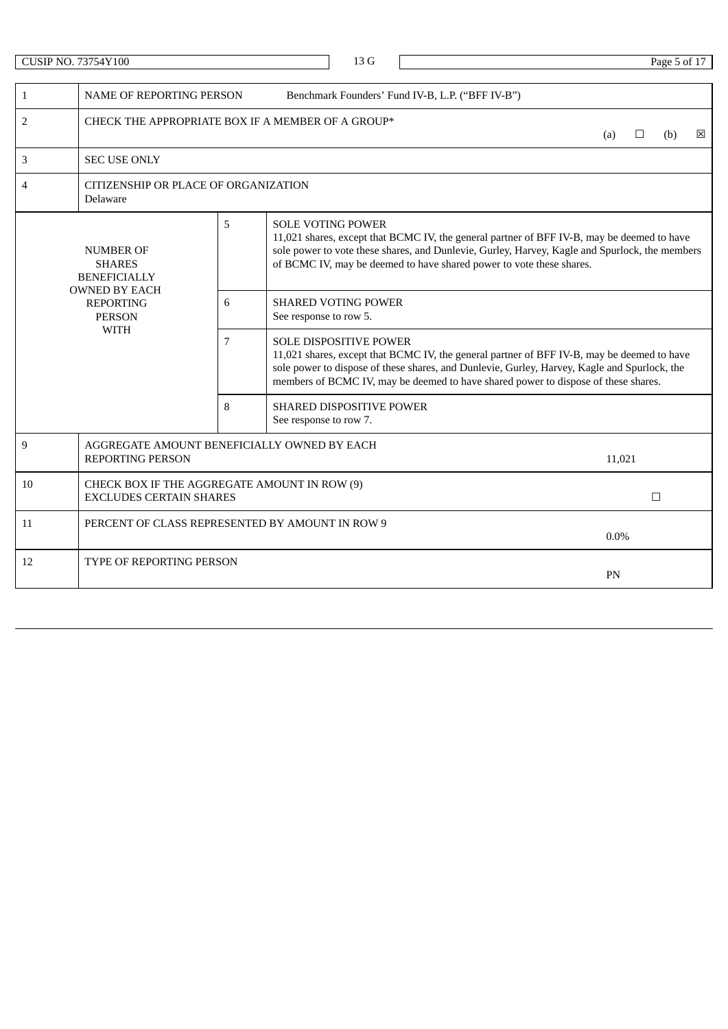CUSIP NO. 73754Y100 Page 5 of 17 1 NAME OF REPORTING PERSON Benchmark Founders' Fund IV-B, L.P. ("BFF IV-B") 2 CHECK THE APPROPRIATE BOX IF A MEMBER OF A GROUP\* (a)  $\Box$  (b)  $\boxtimes$ 3 SEC USE ONLY 4 CITIZENSHIP OR PLACE OF ORGANIZATION Delaware NUMBER OF SHARES BENEFICIALLY OWNED BY EACH REPORTING PERSON WITH 5 SOLE VOTING POWER 11,021 shares, except that BCMC IV, the general partner of BFF IV-B, may be deemed to have sole power to vote these shares, and Dunlevie, Gurley, Harvey, Kagle and Spurlock, the members of BCMC IV, may be deemed to have shared power to vote these shares. 6 SHARED VOTING POWER See response to row 5. 7 SOLE DISPOSITIVE POWER 11,021 shares, except that BCMC IV, the general partner of BFF IV-B, may be deemed to have sole power to dispose of these shares, and Dunlevie, Gurley, Harvey, Kagle and Spurlock, the members of BCMC IV, may be deemed to have shared power to dispose of these shares. 8 SHARED DISPOSITIVE POWER See response to row 7. 9 AGGREGATE AMOUNT BENEFICIALLY OWNED BY EACH REPORTING PERSON 11,021 10 CHECK BOX IF THE AGGREGATE AMOUNT IN ROW (9) EXCLUDES CERTAIN SHARES  $\Box$ 11 PERCENT OF CLASS REPRESENTED BY AMOUNT IN ROW 9 0.0% 12 TYPE OF REPORTING PERSON PN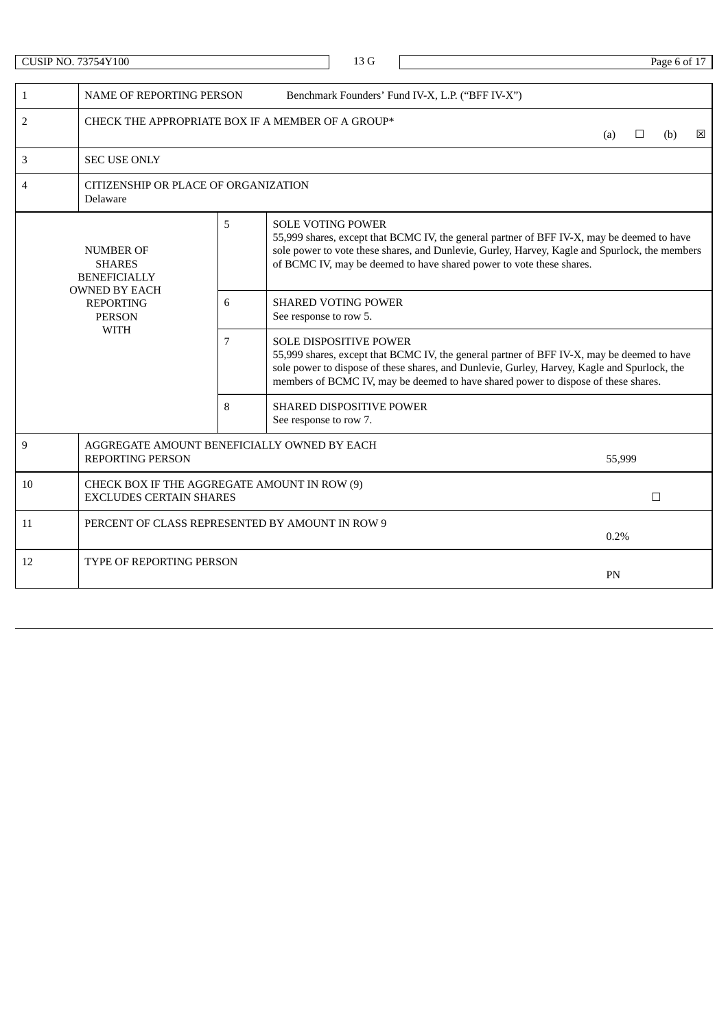CUSIP NO. 73754Y100 Page 6 of 17 1 NAME OF REPORTING PERSON Benchmark Founders' Fund IV-X, L.P. ("BFF IV-X") 2 CHECK THE APPROPRIATE BOX IF A MEMBER OF A GROUP\* (a)  $\Box$  (b)  $\boxtimes$ 3 SEC USE ONLY 4 CITIZENSHIP OR PLACE OF ORGANIZATION Delaware NUMBER OF SHARES BENEFICIALLY OWNED BY EACH REPORTING PERSON WITH 5 SOLE VOTING POWER 55,999 shares, except that BCMC IV, the general partner of BFF IV-X, may be deemed to have sole power to vote these shares, and Dunlevie, Gurley, Harvey, Kagle and Spurlock, the members of BCMC IV, may be deemed to have shared power to vote these shares. 6 SHARED VOTING POWER See response to row 5. 7 SOLE DISPOSITIVE POWER 55,999 shares, except that BCMC IV, the general partner of BFF IV-X, may be deemed to have sole power to dispose of these shares, and Dunlevie, Gurley, Harvey, Kagle and Spurlock, the members of BCMC IV, may be deemed to have shared power to dispose of these shares. 8 SHARED DISPOSITIVE POWER See response to row 7. 9 AGGREGATE AMOUNT BENEFICIALLY OWNED BY EACH REPORTING PERSON 55,999 10 CHECK BOX IF THE AGGREGATE AMOUNT IN ROW (9) EXCLUDES CERTAIN SHARES  $\Box$ 11 PERCENT OF CLASS REPRESENTED BY AMOUNT IN ROW 9 0.2% 12 TYPE OF REPORTING PERSON PN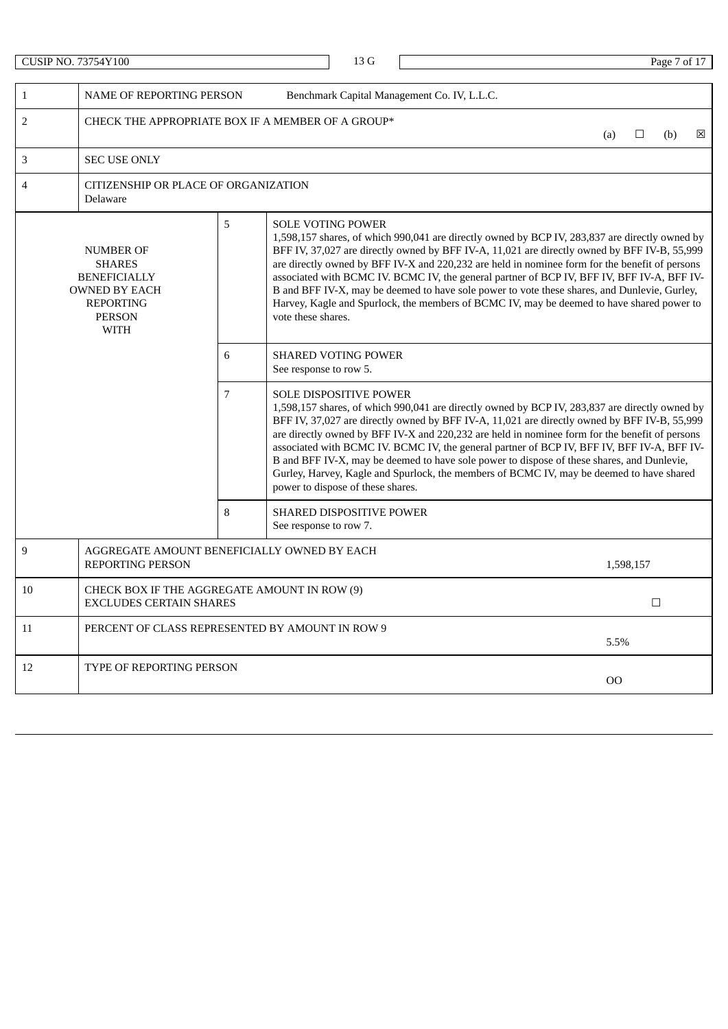| CUSIP NO. 73754Y100 |                                                                                                                                      |                |                        | 13 G                                                                                                                                                                                                                                                                                                                                                                                                                                                                                                                                                                                                                                                           |                                                                                                                                                                                                                                                                                                                                                                                                                                                                                                                                                                                             |        |           | Page 7 of 17 |   |  |  |  |  |
|---------------------|--------------------------------------------------------------------------------------------------------------------------------------|----------------|------------------------|----------------------------------------------------------------------------------------------------------------------------------------------------------------------------------------------------------------------------------------------------------------------------------------------------------------------------------------------------------------------------------------------------------------------------------------------------------------------------------------------------------------------------------------------------------------------------------------------------------------------------------------------------------------|---------------------------------------------------------------------------------------------------------------------------------------------------------------------------------------------------------------------------------------------------------------------------------------------------------------------------------------------------------------------------------------------------------------------------------------------------------------------------------------------------------------------------------------------------------------------------------------------|--------|-----------|--------------|---|--|--|--|--|
|                     |                                                                                                                                      |                |                        |                                                                                                                                                                                                                                                                                                                                                                                                                                                                                                                                                                                                                                                                |                                                                                                                                                                                                                                                                                                                                                                                                                                                                                                                                                                                             |        |           |              |   |  |  |  |  |
| $\mathbf{1}$        | <b>NAME OF REPORTING PERSON</b>                                                                                                      |                |                        |                                                                                                                                                                                                                                                                                                                                                                                                                                                                                                                                                                                                                                                                | Benchmark Capital Management Co. IV, L.L.C.                                                                                                                                                                                                                                                                                                                                                                                                                                                                                                                                                 |        |           |              |   |  |  |  |  |
| 2                   | CHECK THE APPROPRIATE BOX IF A MEMBER OF A GROUP*                                                                                    |                |                        |                                                                                                                                                                                                                                                                                                                                                                                                                                                                                                                                                                                                                                                                |                                                                                                                                                                                                                                                                                                                                                                                                                                                                                                                                                                                             | (a)    | ⊔         | (b)          | ⊠ |  |  |  |  |
| 3                   | <b>SEC USE ONLY</b>                                                                                                                  |                |                        |                                                                                                                                                                                                                                                                                                                                                                                                                                                                                                                                                                                                                                                                |                                                                                                                                                                                                                                                                                                                                                                                                                                                                                                                                                                                             |        |           |              |   |  |  |  |  |
| 4                   | CITIZENSHIP OR PLACE OF ORGANIZATION<br>Delaware                                                                                     |                |                        |                                                                                                                                                                                                                                                                                                                                                                                                                                                                                                                                                                                                                                                                |                                                                                                                                                                                                                                                                                                                                                                                                                                                                                                                                                                                             |        |           |              |   |  |  |  |  |
|                     | <b>NUMBER OF</b><br><b>SHARES</b><br><b>BENEFICIALLY</b><br><b>OWNED BY EACH</b><br><b>REPORTING</b><br><b>PERSON</b><br><b>WITH</b> | 5              | vote these shares.     | <b>SOLE VOTING POWER</b>                                                                                                                                                                                                                                                                                                                                                                                                                                                                                                                                                                                                                                       | 1,598,157 shares, of which 990,041 are directly owned by BCP IV, 283,837 are directly owned by<br>BFF IV, 37,027 are directly owned by BFF IV-A, 11,021 are directly owned by BFF IV-B, 55,999<br>are directly owned by BFF IV-X and 220,232 are held in nominee form for the benefit of persons<br>associated with BCMC IV. BCMC IV, the general partner of BCP IV, BFF IV, BFF IV-A, BFF IV-<br>B and BFF IV-X, may be deemed to have sole power to vote these shares, and Dunlevie, Gurley,<br>Harvey, Kagle and Spurlock, the members of BCMC IV, may be deemed to have shared power to |        |           |              |   |  |  |  |  |
|                     |                                                                                                                                      | 6              | See response to row 5. | <b>SHARED VOTING POWER</b>                                                                                                                                                                                                                                                                                                                                                                                                                                                                                                                                                                                                                                     |                                                                                                                                                                                                                                                                                                                                                                                                                                                                                                                                                                                             |        |           |              |   |  |  |  |  |
|                     |                                                                                                                                      | $\overline{7}$ |                        | <b>SOLE DISPOSITIVE POWER</b><br>1,598,157 shares, of which 990,041 are directly owned by BCP IV, 283,837 are directly owned by<br>BFF IV, 37,027 are directly owned by BFF IV-A, 11,021 are directly owned by BFF IV-B, 55,999<br>are directly owned by BFF IV-X and 220,232 are held in nominee form for the benefit of persons<br>associated with BCMC IV. BCMC IV, the general partner of BCP IV, BFF IV, BFF IV-A, BFF IV-<br>B and BFF IV-X, may be deemed to have sole power to dispose of these shares, and Dunlevie,<br>Gurley, Harvey, Kagle and Spurlock, the members of BCMC IV, may be deemed to have shared<br>power to dispose of these shares. |                                                                                                                                                                                                                                                                                                                                                                                                                                                                                                                                                                                             |        |           |              |   |  |  |  |  |
|                     |                                                                                                                                      | 8              | See response to row 7. | <b>SHARED DISPOSITIVE POWER</b>                                                                                                                                                                                                                                                                                                                                                                                                                                                                                                                                                                                                                                |                                                                                                                                                                                                                                                                                                                                                                                                                                                                                                                                                                                             |        |           |              |   |  |  |  |  |
| 9                   | AGGREGATE AMOUNT BENEFICIALLY OWNED BY EACH<br><b>REPORTING PERSON</b>                                                               |                |                        |                                                                                                                                                                                                                                                                                                                                                                                                                                                                                                                                                                                                                                                                |                                                                                                                                                                                                                                                                                                                                                                                                                                                                                                                                                                                             |        | 1,598,157 |              |   |  |  |  |  |
| 10                  | CHECK BOX IF THE AGGREGATE AMOUNT IN ROW (9)<br><b>EXCLUDES CERTAIN SHARES</b>                                                       |                |                        |                                                                                                                                                                                                                                                                                                                                                                                                                                                                                                                                                                                                                                                                |                                                                                                                                                                                                                                                                                                                                                                                                                                                                                                                                                                                             |        |           | $\Box$       |   |  |  |  |  |
| 11                  | PERCENT OF CLASS REPRESENTED BY AMOUNT IN ROW 9                                                                                      |                |                        |                                                                                                                                                                                                                                                                                                                                                                                                                                                                                                                                                                                                                                                                |                                                                                                                                                                                                                                                                                                                                                                                                                                                                                                                                                                                             | 5.5%   |           |              |   |  |  |  |  |
| 12                  | TYPE OF REPORTING PERSON                                                                                                             |                |                        |                                                                                                                                                                                                                                                                                                                                                                                                                                                                                                                                                                                                                                                                |                                                                                                                                                                                                                                                                                                                                                                                                                                                                                                                                                                                             | $00\,$ |           |              |   |  |  |  |  |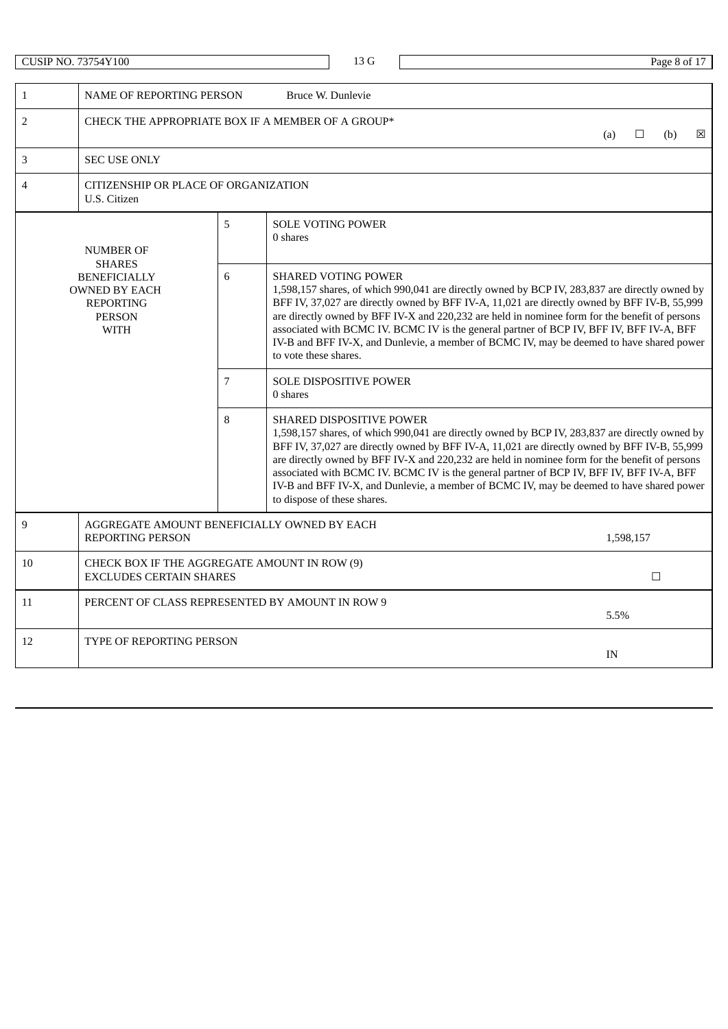|                                                                                                      | <b>CUSIP NO. 73754Y100</b>                                                     |   |                   | 13G                                                                                                                                                                                                                                                                                                                                                                                                                                                                                                                                                        |  |  |      |           | Page 8 of 17 |   |  |  |  |
|------------------------------------------------------------------------------------------------------|--------------------------------------------------------------------------------|---|-------------------|------------------------------------------------------------------------------------------------------------------------------------------------------------------------------------------------------------------------------------------------------------------------------------------------------------------------------------------------------------------------------------------------------------------------------------------------------------------------------------------------------------------------------------------------------------|--|--|------|-----------|--------------|---|--|--|--|
|                                                                                                      |                                                                                |   |                   |                                                                                                                                                                                                                                                                                                                                                                                                                                                                                                                                                            |  |  |      |           |              |   |  |  |  |
| $\mathbf{1}$                                                                                         | NAME OF REPORTING PERSON                                                       |   | Bruce W. Dunlevie |                                                                                                                                                                                                                                                                                                                                                                                                                                                                                                                                                            |  |  |      |           |              |   |  |  |  |
| $\overline{2}$                                                                                       | CHECK THE APPROPRIATE BOX IF A MEMBER OF A GROUP*                              |   |                   |                                                                                                                                                                                                                                                                                                                                                                                                                                                                                                                                                            |  |  | (a)  | $\Box$    | (b)          | ⊠ |  |  |  |
| 3                                                                                                    | <b>SEC USE ONLY</b>                                                            |   |                   |                                                                                                                                                                                                                                                                                                                                                                                                                                                                                                                                                            |  |  |      |           |              |   |  |  |  |
| 4                                                                                                    | CITIZENSHIP OR PLACE OF ORGANIZATION<br>U.S. Citizen                           |   |                   |                                                                                                                                                                                                                                                                                                                                                                                                                                                                                                                                                            |  |  |      |           |              |   |  |  |  |
|                                                                                                      | <b>NUMBER OF</b><br><b>SHARES</b>                                              | 5 | 0 shares          | <b>SOLE VOTING POWER</b>                                                                                                                                                                                                                                                                                                                                                                                                                                                                                                                                   |  |  |      |           |              |   |  |  |  |
| 6<br><b>BENEFICIALLY</b><br><b>OWNED BY EACH</b><br><b>REPORTING</b><br><b>PERSON</b><br><b>WITH</b> |                                                                                |   |                   | <b>SHARED VOTING POWER</b><br>1,598,157 shares, of which 990,041 are directly owned by BCP IV, 283,837 are directly owned by<br>BFF IV, 37,027 are directly owned by BFF IV-A, 11,021 are directly owned by BFF IV-B, 55,999<br>are directly owned by BFF IV-X and 220,232 are held in nominee form for the benefit of persons<br>associated with BCMC IV. BCMC IV is the general partner of BCP IV, BFF IV, BFF IV-A, BFF<br>IV-B and BFF IV-X, and Dunlevie, a member of BCMC IV, may be deemed to have shared power<br>to vote these shares.            |  |  |      |           |              |   |  |  |  |
|                                                                                                      |                                                                                | 7 | 0 shares          | <b>SOLE DISPOSITIVE POWER</b>                                                                                                                                                                                                                                                                                                                                                                                                                                                                                                                              |  |  |      |           |              |   |  |  |  |
|                                                                                                      |                                                                                | 8 |                   | <b>SHARED DISPOSITIVE POWER</b><br>1,598,157 shares, of which 990,041 are directly owned by BCP IV, 283,837 are directly owned by<br>BFF IV, 37,027 are directly owned by BFF IV-A, 11,021 are directly owned by BFF IV-B, 55,999<br>are directly owned by BFF IV-X and 220,232 are held in nominee form for the benefit of persons<br>associated with BCMC IV. BCMC IV is the general partner of BCP IV, BFF IV, BFF IV-A, BFF<br>IV-B and BFF IV-X, and Dunlevie, a member of BCMC IV, may be deemed to have shared power<br>to dispose of these shares. |  |  |      |           |              |   |  |  |  |
| 9                                                                                                    | AGGREGATE AMOUNT BENEFICIALLY OWNED BY EACH<br><b>REPORTING PERSON</b>         |   |                   |                                                                                                                                                                                                                                                                                                                                                                                                                                                                                                                                                            |  |  |      | 1,598,157 |              |   |  |  |  |
| 10                                                                                                   | CHECK BOX IF THE AGGREGATE AMOUNT IN ROW (9)<br><b>EXCLUDES CERTAIN SHARES</b> |   |                   |                                                                                                                                                                                                                                                                                                                                                                                                                                                                                                                                                            |  |  |      | $\Box$    |              |   |  |  |  |
| 11                                                                                                   | PERCENT OF CLASS REPRESENTED BY AMOUNT IN ROW 9                                |   |                   |                                                                                                                                                                                                                                                                                                                                                                                                                                                                                                                                                            |  |  | 5.5% |           |              |   |  |  |  |
| 12                                                                                                   | <b>TYPE OF REPORTING PERSON</b>                                                |   |                   |                                                                                                                                                                                                                                                                                                                                                                                                                                                                                                                                                            |  |  | IN   |           |              |   |  |  |  |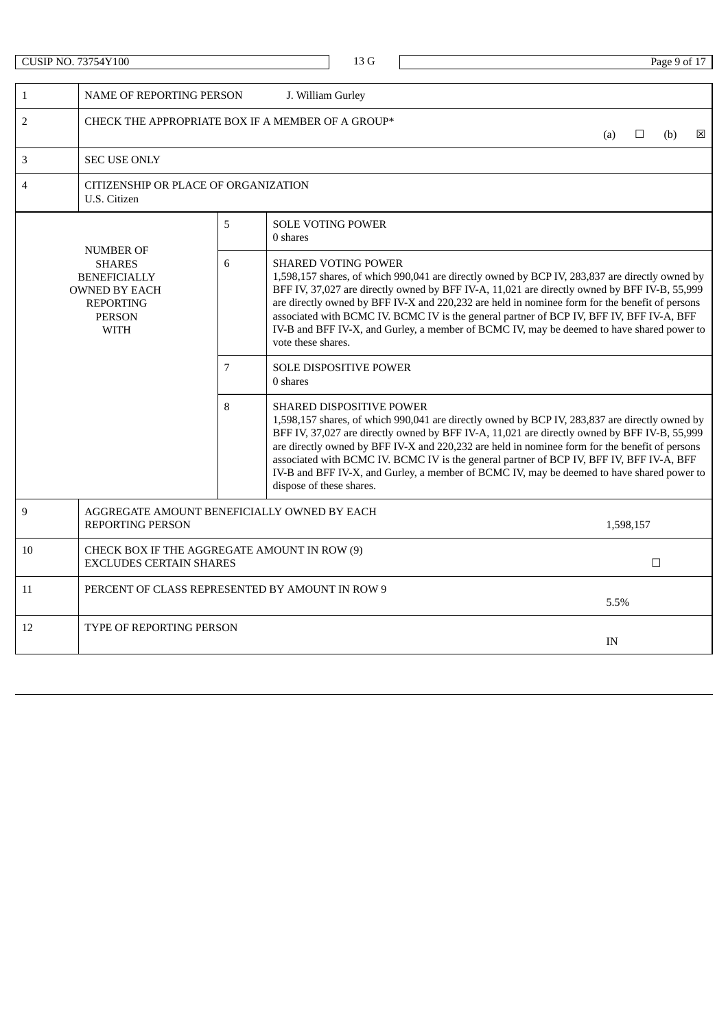|                                                                                                                                                                                                                                                                                                                                                                                                                                                                                                                                                                                                                                                                        | <b>CUSIP NO. 73754Y100</b>                                             |                |                                                                                                                                                                                                                                                                                                                                                                                                                                                                                                                                                   | 13 G   |  |  |  |  |  |      |           | Page 9 of 17 |   |
|------------------------------------------------------------------------------------------------------------------------------------------------------------------------------------------------------------------------------------------------------------------------------------------------------------------------------------------------------------------------------------------------------------------------------------------------------------------------------------------------------------------------------------------------------------------------------------------------------------------------------------------------------------------------|------------------------------------------------------------------------|----------------|---------------------------------------------------------------------------------------------------------------------------------------------------------------------------------------------------------------------------------------------------------------------------------------------------------------------------------------------------------------------------------------------------------------------------------------------------------------------------------------------------------------------------------------------------|--------|--|--|--|--|--|------|-----------|--------------|---|
| $\mathbf{1}$                                                                                                                                                                                                                                                                                                                                                                                                                                                                                                                                                                                                                                                           | <b>NAME OF REPORTING PERSON</b>                                        |                | J. William Gurley                                                                                                                                                                                                                                                                                                                                                                                                                                                                                                                                 |        |  |  |  |  |  |      |           |              |   |
| $\overline{2}$                                                                                                                                                                                                                                                                                                                                                                                                                                                                                                                                                                                                                                                         | CHECK THE APPROPRIATE BOX IF A MEMBER OF A GROUP*                      |                |                                                                                                                                                                                                                                                                                                                                                                                                                                                                                                                                                   |        |  |  |  |  |  | (a)  | □         | (b)          | ⊠ |
| 3                                                                                                                                                                                                                                                                                                                                                                                                                                                                                                                                                                                                                                                                      | <b>SEC USE ONLY</b>                                                    |                |                                                                                                                                                                                                                                                                                                                                                                                                                                                                                                                                                   |        |  |  |  |  |  |      |           |              |   |
| $\overline{4}$                                                                                                                                                                                                                                                                                                                                                                                                                                                                                                                                                                                                                                                         | CITIZENSHIP OR PLACE OF ORGANIZATION<br>U.S. Citizen                   |                |                                                                                                                                                                                                                                                                                                                                                                                                                                                                                                                                                   |        |  |  |  |  |  |      |           |              |   |
|                                                                                                                                                                                                                                                                                                                                                                                                                                                                                                                                                                                                                                                                        | <b>NUMBER OF</b>                                                       | 5              | <b>SOLE VOTING POWER</b><br>0 shares                                                                                                                                                                                                                                                                                                                                                                                                                                                                                                              |        |  |  |  |  |  |      |           |              |   |
| 6<br><b>SHARED VOTING POWER</b><br><b>SHARES</b><br>1,598,157 shares, of which 990,041 are directly owned by BCP IV, 283,837 are directly owned by<br><b>BENEFICIALLY</b><br>BFF IV, 37,027 are directly owned by BFF IV-A, 11,021 are directly owned by BFF IV-B, 55,999<br><b>OWNED BY EACH</b><br>are directly owned by BFF IV-X and 220,232 are held in nominee form for the benefit of persons<br><b>REPORTING</b><br>associated with BCMC IV. BCMC IV is the general partner of BCP IV, BFF IV, BFF IV-A, BFF<br><b>PERSON</b><br>IV-B and BFF IV-X, and Gurley, a member of BCMC IV, may be deemed to have shared power to<br><b>WITH</b><br>vote these shares. |                                                                        |                |                                                                                                                                                                                                                                                                                                                                                                                                                                                                                                                                                   |        |  |  |  |  |  |      |           |              |   |
|                                                                                                                                                                                                                                                                                                                                                                                                                                                                                                                                                                                                                                                                        |                                                                        | $\overline{7}$ | <b>SOLE DISPOSITIVE POWER</b><br>0 shares                                                                                                                                                                                                                                                                                                                                                                                                                                                                                                         |        |  |  |  |  |  |      |           |              |   |
|                                                                                                                                                                                                                                                                                                                                                                                                                                                                                                                                                                                                                                                                        |                                                                        | 8              | SHARED DISPOSITIVE POWER<br>1,598,157 shares, of which 990,041 are directly owned by BCP IV, 283,837 are directly owned by<br>BFF IV, 37,027 are directly owned by BFF IV-A, 11,021 are directly owned by BFF IV-B, 55,999<br>are directly owned by BFF IV-X and 220,232 are held in nominee form for the benefit of persons<br>associated with BCMC IV. BCMC IV is the general partner of BCP IV, BFF IV, BFF IV-A, BFF<br>IV-B and BFF IV-X, and Gurley, a member of BCMC IV, may be deemed to have shared power to<br>dispose of these shares. |        |  |  |  |  |  |      |           |              |   |
| 9                                                                                                                                                                                                                                                                                                                                                                                                                                                                                                                                                                                                                                                                      | AGGREGATE AMOUNT BENEFICIALLY OWNED BY EACH<br><b>REPORTING PERSON</b> |                |                                                                                                                                                                                                                                                                                                                                                                                                                                                                                                                                                   |        |  |  |  |  |  |      | 1,598,157 |              |   |
| 10<br>CHECK BOX IF THE AGGREGATE AMOUNT IN ROW (9)<br><b>EXCLUDES CERTAIN SHARES</b>                                                                                                                                                                                                                                                                                                                                                                                                                                                                                                                                                                                   |                                                                        |                |                                                                                                                                                                                                                                                                                                                                                                                                                                                                                                                                                   | $\Box$ |  |  |  |  |  |      |           |              |   |
| 11                                                                                                                                                                                                                                                                                                                                                                                                                                                                                                                                                                                                                                                                     | PERCENT OF CLASS REPRESENTED BY AMOUNT IN ROW 9                        |                |                                                                                                                                                                                                                                                                                                                                                                                                                                                                                                                                                   |        |  |  |  |  |  | 5.5% |           |              |   |
| 12                                                                                                                                                                                                                                                                                                                                                                                                                                                                                                                                                                                                                                                                     | <b>TYPE OF REPORTING PERSON</b><br>IN                                  |                |                                                                                                                                                                                                                                                                                                                                                                                                                                                                                                                                                   |        |  |  |  |  |  |      |           |              |   |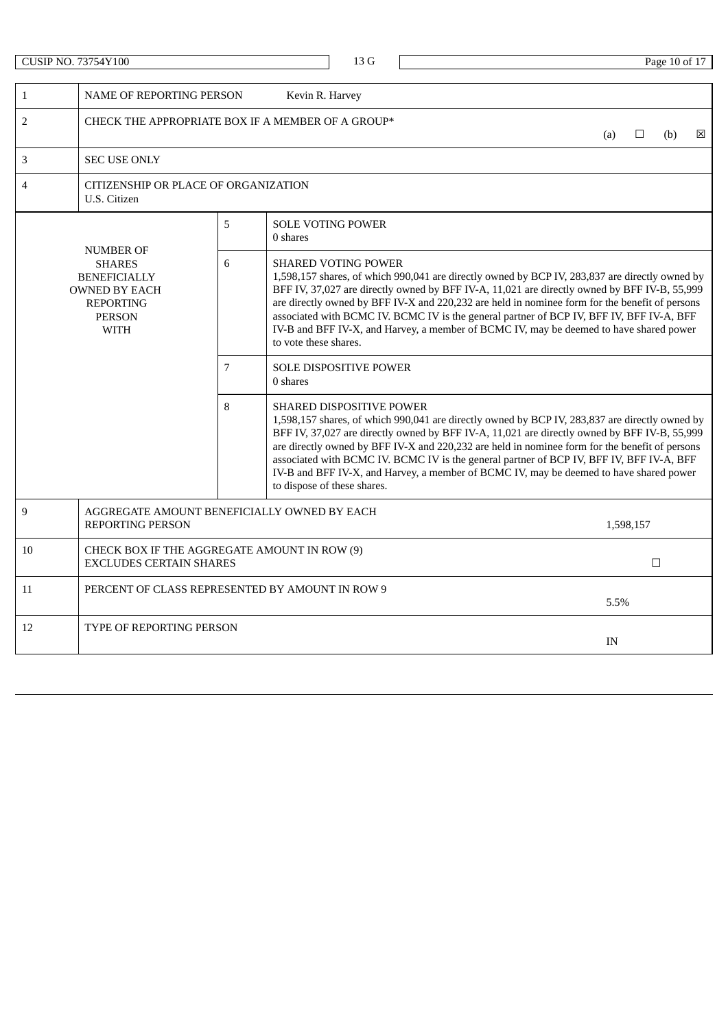|                                                                                                                                                                                                                                                                                                                                                                                                                                                                                                                                                                                                                                                                 | <b>CUSIP NO. 73754Y100</b>                                                     |                |                 | 13 G                          |  |  |        |     |           | Page 10 of 17 |   |
|-----------------------------------------------------------------------------------------------------------------------------------------------------------------------------------------------------------------------------------------------------------------------------------------------------------------------------------------------------------------------------------------------------------------------------------------------------------------------------------------------------------------------------------------------------------------------------------------------------------------------------------------------------------------|--------------------------------------------------------------------------------|----------------|-----------------|-------------------------------|--|--|--------|-----|-----------|---------------|---|
| $\mathbf{1}$                                                                                                                                                                                                                                                                                                                                                                                                                                                                                                                                                                                                                                                    | <b>NAME OF REPORTING PERSON</b>                                                |                | Kevin R. Harvey |                               |  |  |        |     |           |               |   |
| $\overline{2}$                                                                                                                                                                                                                                                                                                                                                                                                                                                                                                                                                                                                                                                  | CHECK THE APPROPRIATE BOX IF A MEMBER OF A GROUP*                              |                |                 |                               |  |  |        | (a) | □         | (b)           | ⊠ |
| 3                                                                                                                                                                                                                                                                                                                                                                                                                                                                                                                                                                                                                                                               | <b>SEC USE ONLY</b>                                                            |                |                 |                               |  |  |        |     |           |               |   |
| $\overline{4}$                                                                                                                                                                                                                                                                                                                                                                                                                                                                                                                                                                                                                                                  | CITIZENSHIP OR PLACE OF ORGANIZATION<br>U.S. Citizen                           |                |                 |                               |  |  |        |     |           |               |   |
|                                                                                                                                                                                                                                                                                                                                                                                                                                                                                                                                                                                                                                                                 | <b>NUMBER OF</b>                                                               | 5              | 0 shares        | <b>SOLE VOTING POWER</b>      |  |  |        |     |           |               |   |
| 6<br><b>SHARES</b><br><b>SHARED VOTING POWER</b><br>1,598,157 shares, of which 990,041 are directly owned by BCP IV, 283,837 are directly owned by<br><b>BENEFICIALLY</b><br>BFF IV, 37,027 are directly owned by BFF IV-A, 11,021 are directly owned by BFF IV-B, 55,999<br><b>OWNED BY EACH</b><br>are directly owned by BFF IV-X and 220,232 are held in nominee form for the benefit of persons<br><b>REPORTING</b><br>associated with BCMC IV. BCMC IV is the general partner of BCP IV, BFF IV, BFF IV-A, BFF<br><b>PERSON</b><br>IV-B and BFF IV-X, and Harvey, a member of BCMC IV, may be deemed to have shared power<br>WITH<br>to vote these shares. |                                                                                |                |                 |                               |  |  |        |     |           |               |   |
|                                                                                                                                                                                                                                                                                                                                                                                                                                                                                                                                                                                                                                                                 |                                                                                | $\overline{7}$ | 0 shares        | <b>SOLE DISPOSITIVE POWER</b> |  |  |        |     |           |               |   |
| 8<br>SHARED DISPOSITIVE POWER<br>1,598,157 shares, of which 990,041 are directly owned by BCP IV, 283,837 are directly owned by<br>BFF IV, 37,027 are directly owned by BFF IV-A, 11,021 are directly owned by BFF IV-B, 55,999<br>are directly owned by BFF IV-X and 220,232 are held in nominee form for the benefit of persons<br>associated with BCMC IV. BCMC IV is the general partner of BCP IV, BFF IV, BFF IV-A, BFF<br>IV-B and BFF IV-X, and Harvey, a member of BCMC IV, may be deemed to have shared power<br>to dispose of these shares.                                                                                                          |                                                                                |                |                 |                               |  |  |        |     |           |               |   |
| 9                                                                                                                                                                                                                                                                                                                                                                                                                                                                                                                                                                                                                                                               | AGGREGATE AMOUNT BENEFICIALLY OWNED BY EACH<br>REPORTING PERSON                |                |                 |                               |  |  |        |     | 1,598,157 |               |   |
| 10                                                                                                                                                                                                                                                                                                                                                                                                                                                                                                                                                                                                                                                              | CHECK BOX IF THE AGGREGATE AMOUNT IN ROW (9)<br><b>EXCLUDES CERTAIN SHARES</b> |                |                 |                               |  |  | $\Box$ |     |           |               |   |
| 11                                                                                                                                                                                                                                                                                                                                                                                                                                                                                                                                                                                                                                                              | PERCENT OF CLASS REPRESENTED BY AMOUNT IN ROW 9                                |                |                 |                               |  |  |        |     | 5.5%      |               |   |
| 12                                                                                                                                                                                                                                                                                                                                                                                                                                                                                                                                                                                                                                                              | TYPE OF REPORTING PERSON                                                       |                |                 |                               |  |  |        | IN  |           |               |   |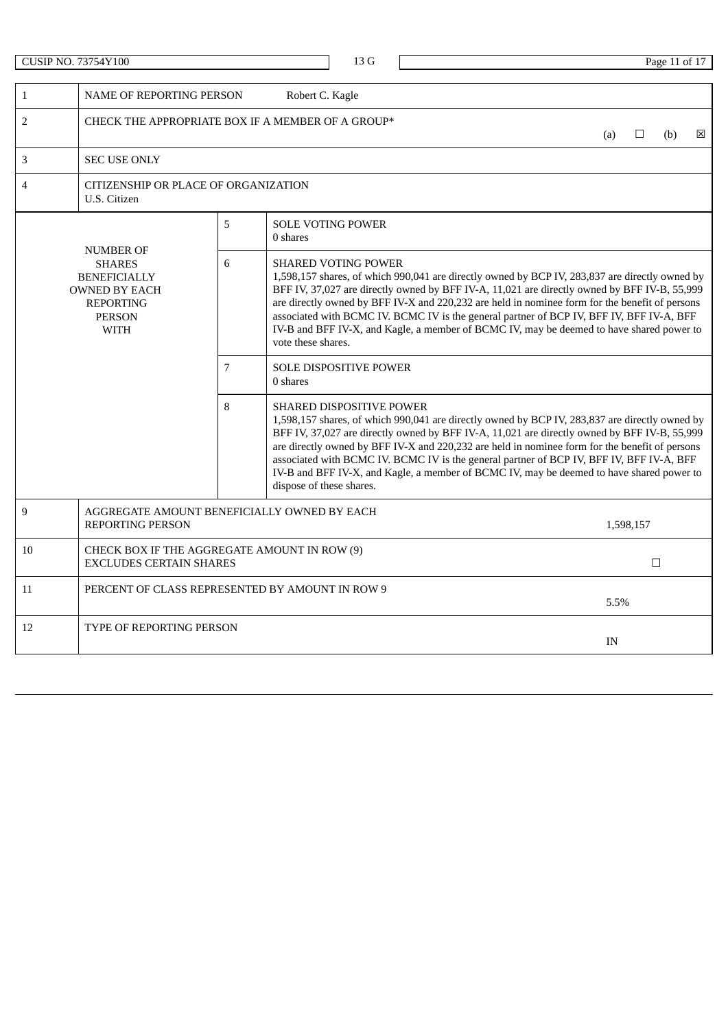|                                                                                                                                                                                                                                                                                                                                                                                                                                                                                                                                                                                                                                                                       | <b>CUSIP NO. 73754Y100</b>                                                     |                 |                                                                                                                                                                                                                                                                                                                                                                                                                                                                                                                                                         | 13 G |  |        |  |      |           | Page 11 of 17 |   |  |
|-----------------------------------------------------------------------------------------------------------------------------------------------------------------------------------------------------------------------------------------------------------------------------------------------------------------------------------------------------------------------------------------------------------------------------------------------------------------------------------------------------------------------------------------------------------------------------------------------------------------------------------------------------------------------|--------------------------------------------------------------------------------|-----------------|---------------------------------------------------------------------------------------------------------------------------------------------------------------------------------------------------------------------------------------------------------------------------------------------------------------------------------------------------------------------------------------------------------------------------------------------------------------------------------------------------------------------------------------------------------|------|--|--------|--|------|-----------|---------------|---|--|
| $\mathbf{1}$                                                                                                                                                                                                                                                                                                                                                                                                                                                                                                                                                                                                                                                          | <b>NAME OF REPORTING PERSON</b>                                                |                 | Robert C. Kagle                                                                                                                                                                                                                                                                                                                                                                                                                                                                                                                                         |      |  |        |  |      |           |               |   |  |
| $\sqrt{2}$                                                                                                                                                                                                                                                                                                                                                                                                                                                                                                                                                                                                                                                            | CHECK THE APPROPRIATE BOX IF A MEMBER OF A GROUP*                              |                 |                                                                                                                                                                                                                                                                                                                                                                                                                                                                                                                                                         |      |  |        |  | (a)  | □         | (b)           | ⊠ |  |
| 3                                                                                                                                                                                                                                                                                                                                                                                                                                                                                                                                                                                                                                                                     | <b>SEC USE ONLY</b>                                                            |                 |                                                                                                                                                                                                                                                                                                                                                                                                                                                                                                                                                         |      |  |        |  |      |           |               |   |  |
| 4                                                                                                                                                                                                                                                                                                                                                                                                                                                                                                                                                                                                                                                                     | CITIZENSHIP OR PLACE OF ORGANIZATION<br>U.S. Citizen                           |                 |                                                                                                                                                                                                                                                                                                                                                                                                                                                                                                                                                         |      |  |        |  |      |           |               |   |  |
|                                                                                                                                                                                                                                                                                                                                                                                                                                                                                                                                                                                                                                                                       | <b>NUMBER OF</b>                                                               | 5               | SOLE VOTING POWER<br>0 shares                                                                                                                                                                                                                                                                                                                                                                                                                                                                                                                           |      |  |        |  |      |           |               |   |  |
| 6<br><b>SHARES</b><br><b>SHARED VOTING POWER</b><br>1,598,157 shares, of which 990,041 are directly owned by BCP IV, 283,837 are directly owned by<br><b>BENEFICIALLY</b><br>BFF IV, 37,027 are directly owned by BFF IV-A, 11,021 are directly owned by BFF IV-B, 55,999<br><b>OWNED BY EACH</b><br>are directly owned by BFF IV-X and 220,232 are held in nominee form for the benefit of persons<br><b>REPORTING</b><br>associated with BCMC IV. BCMC IV is the general partner of BCP IV, BFF IV, BFF IV-A, BFF<br><b>PERSON</b><br>IV-B and BFF IV-X, and Kagle, a member of BCMC IV, may be deemed to have shared power to<br><b>WITH</b><br>vote these shares. |                                                                                |                 |                                                                                                                                                                                                                                                                                                                                                                                                                                                                                                                                                         |      |  |        |  |      |           |               |   |  |
|                                                                                                                                                                                                                                                                                                                                                                                                                                                                                                                                                                                                                                                                       |                                                                                | $7\overline{ }$ | <b>SOLE DISPOSITIVE POWER</b><br>0 shares                                                                                                                                                                                                                                                                                                                                                                                                                                                                                                               |      |  |        |  |      |           |               |   |  |
|                                                                                                                                                                                                                                                                                                                                                                                                                                                                                                                                                                                                                                                                       |                                                                                |                 | <b>SHARED DISPOSITIVE POWER</b><br>1,598,157 shares, of which 990,041 are directly owned by BCP IV, 283,837 are directly owned by<br>BFF IV, 37,027 are directly owned by BFF IV-A, 11,021 are directly owned by BFF IV-B, 55,999<br>are directly owned by BFF IV-X and 220,232 are held in nominee form for the benefit of persons<br>associated with BCMC IV. BCMC IV is the general partner of BCP IV, BFF IV, BFF IV-A, BFF<br>IV-B and BFF IV-X, and Kagle, a member of BCMC IV, may be deemed to have shared power to<br>dispose of these shares. |      |  |        |  |      |           |               |   |  |
| 9                                                                                                                                                                                                                                                                                                                                                                                                                                                                                                                                                                                                                                                                     | AGGREGATE AMOUNT BENEFICIALLY OWNED BY EACH<br><b>REPORTING PERSON</b>         |                 |                                                                                                                                                                                                                                                                                                                                                                                                                                                                                                                                                         |      |  |        |  |      | 1,598,157 |               |   |  |
| 10                                                                                                                                                                                                                                                                                                                                                                                                                                                                                                                                                                                                                                                                    | CHECK BOX IF THE AGGREGATE AMOUNT IN ROW (9)<br><b>EXCLUDES CERTAIN SHARES</b> |                 |                                                                                                                                                                                                                                                                                                                                                                                                                                                                                                                                                         |      |  | $\Box$ |  |      |           |               |   |  |
| 11                                                                                                                                                                                                                                                                                                                                                                                                                                                                                                                                                                                                                                                                    | PERCENT OF CLASS REPRESENTED BY AMOUNT IN ROW 9                                |                 |                                                                                                                                                                                                                                                                                                                                                                                                                                                                                                                                                         |      |  |        |  | 5.5% |           |               |   |  |
| 12                                                                                                                                                                                                                                                                                                                                                                                                                                                                                                                                                                                                                                                                    | <b>TYPE OF REPORTING PERSON</b>                                                |                 |                                                                                                                                                                                                                                                                                                                                                                                                                                                                                                                                                         |      |  |        |  | IN   |           |               |   |  |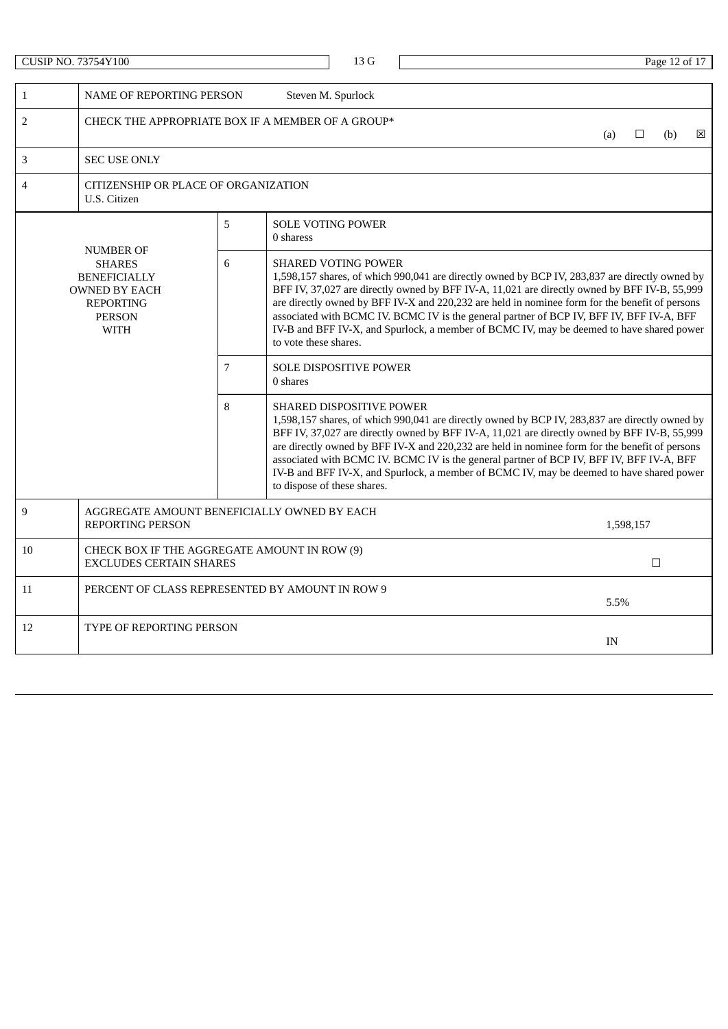|                                                                                                                                                                                                                                                                                                                                                                                                                                                                                                                                                                                                                                                                          | <b>CUSIP NO. 73754Y100</b>                                             |                 |                                           |                                                                                                                                                                                                                                                                                                                                                                                                                                                                                                                                                            | Page 12 of 17 |        |      |           |     |   |  |  |  |
|--------------------------------------------------------------------------------------------------------------------------------------------------------------------------------------------------------------------------------------------------------------------------------------------------------------------------------------------------------------------------------------------------------------------------------------------------------------------------------------------------------------------------------------------------------------------------------------------------------------------------------------------------------------------------|------------------------------------------------------------------------|-----------------|-------------------------------------------|------------------------------------------------------------------------------------------------------------------------------------------------------------------------------------------------------------------------------------------------------------------------------------------------------------------------------------------------------------------------------------------------------------------------------------------------------------------------------------------------------------------------------------------------------------|---------------|--------|------|-----------|-----|---|--|--|--|
|                                                                                                                                                                                                                                                                                                                                                                                                                                                                                                                                                                                                                                                                          |                                                                        |                 |                                           |                                                                                                                                                                                                                                                                                                                                                                                                                                                                                                                                                            |               |        |      |           |     |   |  |  |  |
| $\mathbf{1}$                                                                                                                                                                                                                                                                                                                                                                                                                                                                                                                                                                                                                                                             | <b>NAME OF REPORTING PERSON</b>                                        |                 |                                           | Steven M. Spurlock                                                                                                                                                                                                                                                                                                                                                                                                                                                                                                                                         |               |        |      |           |     |   |  |  |  |
| $\overline{2}$                                                                                                                                                                                                                                                                                                                                                                                                                                                                                                                                                                                                                                                           | CHECK THE APPROPRIATE BOX IF A MEMBER OF A GROUP*                      |                 |                                           |                                                                                                                                                                                                                                                                                                                                                                                                                                                                                                                                                            |               |        | (a)  | □         | (b) | ⊠ |  |  |  |
| 3                                                                                                                                                                                                                                                                                                                                                                                                                                                                                                                                                                                                                                                                        | <b>SEC USE ONLY</b>                                                    |                 |                                           |                                                                                                                                                                                                                                                                                                                                                                                                                                                                                                                                                            |               |        |      |           |     |   |  |  |  |
| 4                                                                                                                                                                                                                                                                                                                                                                                                                                                                                                                                                                                                                                                                        | CITIZENSHIP OR PLACE OF ORGANIZATION<br>U.S. Citizen                   |                 |                                           |                                                                                                                                                                                                                                                                                                                                                                                                                                                                                                                                                            |               |        |      |           |     |   |  |  |  |
|                                                                                                                                                                                                                                                                                                                                                                                                                                                                                                                                                                                                                                                                          | <b>NUMBER OF</b>                                                       | 5               | <b>SOLE VOTING POWER</b><br>0 sharess     |                                                                                                                                                                                                                                                                                                                                                                                                                                                                                                                                                            |               |        |      |           |     |   |  |  |  |
| 6<br><b>SHARED VOTING POWER</b><br><b>SHARES</b><br>1,598,157 shares, of which 990,041 are directly owned by BCP IV, 283,837 are directly owned by<br><b>BENEFICIALLY</b><br>BFF IV, 37,027 are directly owned by BFF IV-A, 11,021 are directly owned by BFF IV-B, 55,999<br><b>OWNED BY EACH</b><br>are directly owned by BFF IV-X and 220,232 are held in nominee form for the benefit of persons<br><b>REPORTING</b><br>associated with BCMC IV. BCMC IV is the general partner of BCP IV, BFF IV, BFF IV-A, BFF<br><b>PERSON</b><br>IV-B and BFF IV-X, and Spurlock, a member of BCMC IV, may be deemed to have shared power<br><b>WITH</b><br>to vote these shares. |                                                                        |                 |                                           |                                                                                                                                                                                                                                                                                                                                                                                                                                                                                                                                                            |               |        |      |           |     |   |  |  |  |
|                                                                                                                                                                                                                                                                                                                                                                                                                                                                                                                                                                                                                                                                          |                                                                        | $7\overline{ }$ | <b>SOLE DISPOSITIVE POWER</b><br>0 shares |                                                                                                                                                                                                                                                                                                                                                                                                                                                                                                                                                            |               |        |      |           |     |   |  |  |  |
|                                                                                                                                                                                                                                                                                                                                                                                                                                                                                                                                                                                                                                                                          |                                                                        | 8               |                                           | <b>SHARED DISPOSITIVE POWER</b><br>1,598,157 shares, of which 990,041 are directly owned by BCP IV, 283,837 are directly owned by<br>BFF IV, 37,027 are directly owned by BFF IV-A, 11,021 are directly owned by BFF IV-B, 55,999<br>are directly owned by BFF IV-X and 220,232 are held in nominee form for the benefit of persons<br>associated with BCMC IV. BCMC IV is the general partner of BCP IV, BFF IV, BFF IV-A, BFF<br>IV-B and BFF IV-X, and Spurlock, a member of BCMC IV, may be deemed to have shared power<br>to dispose of these shares. |               |        |      |           |     |   |  |  |  |
| 9                                                                                                                                                                                                                                                                                                                                                                                                                                                                                                                                                                                                                                                                        | AGGREGATE AMOUNT BENEFICIALLY OWNED BY EACH<br><b>REPORTING PERSON</b> |                 |                                           |                                                                                                                                                                                                                                                                                                                                                                                                                                                                                                                                                            |               |        |      | 1,598,157 |     |   |  |  |  |
| 10<br>CHECK BOX IF THE AGGREGATE AMOUNT IN ROW (9)<br><b>EXCLUDES CERTAIN SHARES</b>                                                                                                                                                                                                                                                                                                                                                                                                                                                                                                                                                                                     |                                                                        |                 |                                           |                                                                                                                                                                                                                                                                                                                                                                                                                                                                                                                                                            |               | $\Box$ |      |           |     |   |  |  |  |
| 11                                                                                                                                                                                                                                                                                                                                                                                                                                                                                                                                                                                                                                                                       | PERCENT OF CLASS REPRESENTED BY AMOUNT IN ROW 9                        |                 |                                           |                                                                                                                                                                                                                                                                                                                                                                                                                                                                                                                                                            |               |        | 5.5% |           |     |   |  |  |  |
| 12                                                                                                                                                                                                                                                                                                                                                                                                                                                                                                                                                                                                                                                                       | <b>TYPE OF REPORTING PERSON</b>                                        |                 |                                           |                                                                                                                                                                                                                                                                                                                                                                                                                                                                                                                                                            |               |        | IN   |           |     |   |  |  |  |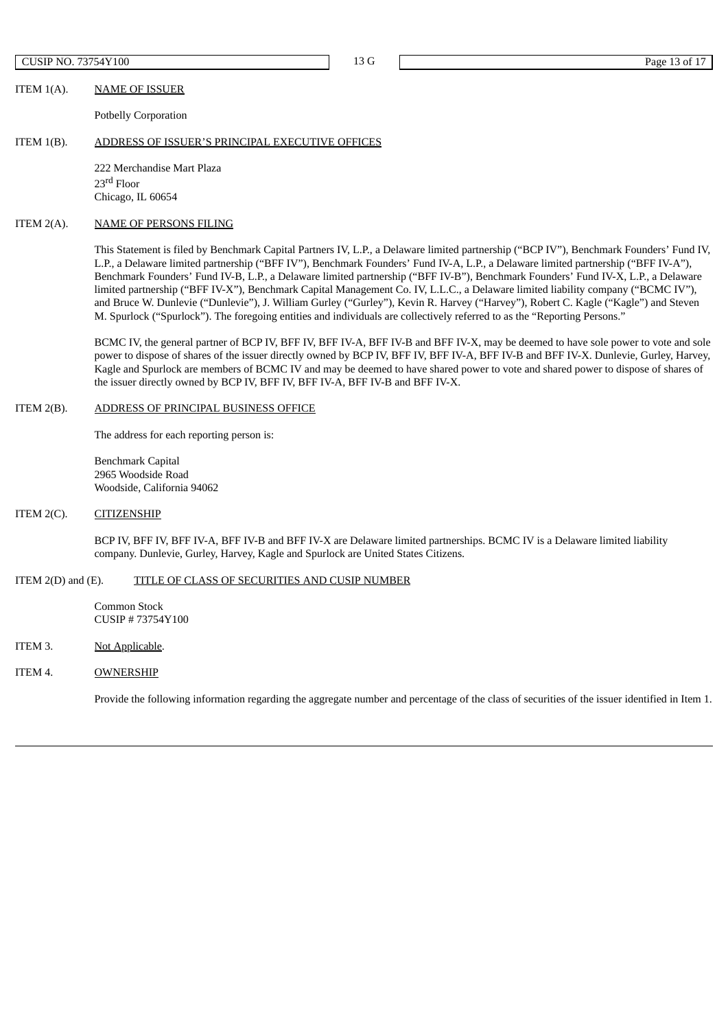$\overline{C}$  CUSIP NO. 73754Y100  $P$  Page 13 of 17

ITEM 1(A). NAME OF ISSUER

Potbelly Corporation

#### ITEM 1(B). ADDRESS OF ISSUER'S PRINCIPAL EXECUTIVE OFFICES

222 Merchandise Mart Plaza 23 rd Floor Chicago, IL 60654

## ITEM 2(A). NAME OF PERSONS FILING

This Statement is filed by Benchmark Capital Partners IV, L.P., a Delaware limited partnership ("BCP IV"), Benchmark Founders' Fund IV, L.P., a Delaware limited partnership ("BFF IV"), Benchmark Founders' Fund IV-A, L.P., a Delaware limited partnership ("BFF IV-A"), Benchmark Founders' Fund IV-B, L.P., a Delaware limited partnership ("BFF IV-B"), Benchmark Founders' Fund IV-X, L.P., a Delaware limited partnership ("BFF IV-X"), Benchmark Capital Management Co. IV, L.L.C., a Delaware limited liability company ("BCMC IV"), and Bruce W. Dunlevie ("Dunlevie"), J. William Gurley ("Gurley"), Kevin R. Harvey ("Harvey"), Robert C. Kagle ("Kagle") and Steven M. Spurlock ("Spurlock"). The foregoing entities and individuals are collectively referred to as the "Reporting Persons."

BCMC IV, the general partner of BCP IV, BFF IV, BFF IV-A, BFF IV-B and BFF IV-X, may be deemed to have sole power to vote and sole power to dispose of shares of the issuer directly owned by BCP IV, BFF IV, BFF IV-A, BFF IV-B and BFF IV-X. Dunlevie, Gurley, Harvey, Kagle and Spurlock are members of BCMC IV and may be deemed to have shared power to vote and shared power to dispose of shares of the issuer directly owned by BCP IV, BFF IV, BFF IV-A, BFF IV-B and BFF IV-X.

# ITEM 2(B). ADDRESS OF PRINCIPAL BUSINESS OFFICE

The address for each reporting person is:

Benchmark Capital 2965 Woodside Road Woodside, California 94062

## ITEM 2(C). CITIZENSHIP

BCP IV, BFF IV, BFF IV-A, BFF IV-B and BFF IV-X are Delaware limited partnerships. BCMC IV is a Delaware limited liability company. Dunlevie, Gurley, Harvey, Kagle and Spurlock are United States Citizens.

## ITEM 2(D) and (E). TITLE OF CLASS OF SECURITIES AND CUSIP NUMBER

Common Stock CUSIP # 73754Y100

ITEM 3. Not Applicable.

# ITEM 4. OWNERSHIP

Provide the following information regarding the aggregate number and percentage of the class of securities of the issuer identified in Item 1.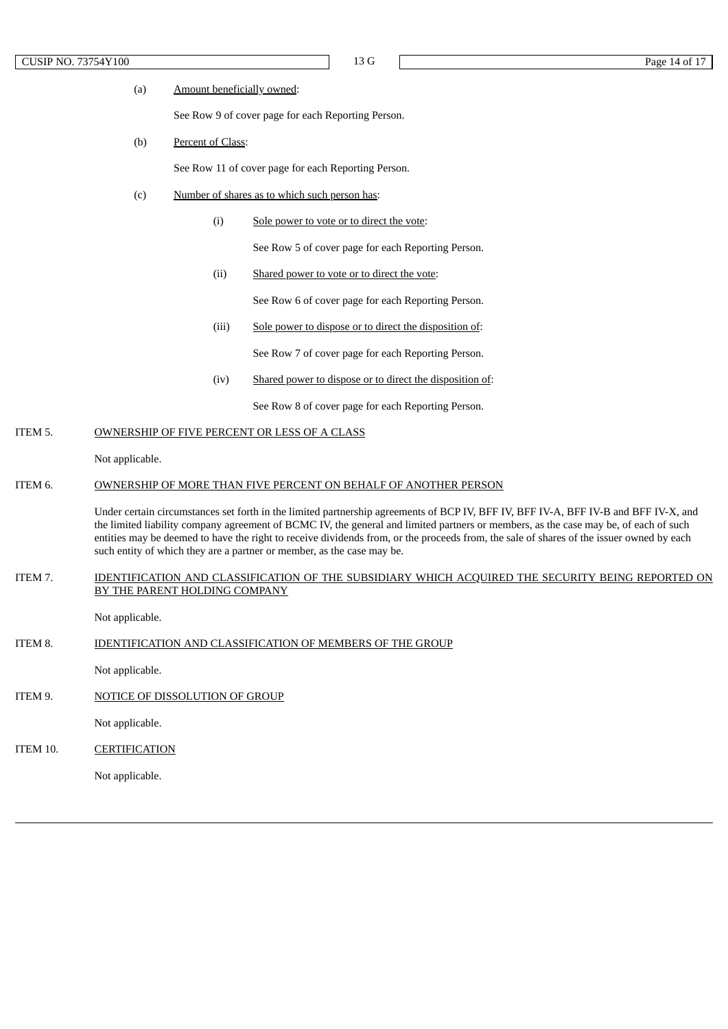# CUSIP NO. 73754Y100 Page 14 of 17

#### (a) Amount beneficially owned:

See Row 9 of cover page for each Reporting Person.

(b) Percent of Class:

See Row 11 of cover page for each Reporting Person.

- (c) Number of shares as to which such person has:
	- (i) Sole power to vote or to direct the vote:

See Row 5 of cover page for each Reporting Person.

(ii) Shared power to vote or to direct the vote:

See Row 6 of cover page for each Reporting Person.

(iii) Sole power to dispose or to direct the disposition of:

See Row 7 of cover page for each Reporting Person.

(iv) Shared power to dispose or to direct the disposition of:

See Row 8 of cover page for each Reporting Person.

## ITEM 5. OWNERSHIP OF FIVE PERCENT OR LESS OF A CLASS

Not applicable.

#### ITEM 6. OWNERSHIP OF MORE THAN FIVE PERCENT ON BEHALF OF ANOTHER PERSON

Under certain circumstances set forth in the limited partnership agreements of BCP IV, BFF IV, BFF IV-A, BFF IV-B and BFF IV-X, and the limited liability company agreement of BCMC IV, the general and limited partners or members, as the case may be, of each of such entities may be deemed to have the right to receive dividends from, or the proceeds from, the sale of shares of the issuer owned by each such entity of which they are a partner or member, as the case may be.

## ITEM 7. IDENTIFICATION AND CLASSIFICATION OF THE SUBSIDIARY WHICH ACQUIRED THE SECURITY BEING REPORTED ON BY THE PARENT HOLDING COMPANY

Not applicable.

ITEM 8. IDENTIFICATION AND CLASSIFICATION OF MEMBERS OF THE GROUP

Not applicable.

ITEM 9. NOTICE OF DISSOLUTION OF GROUP

Not applicable.

ITEM 10. CERTIFICATION

Not applicable.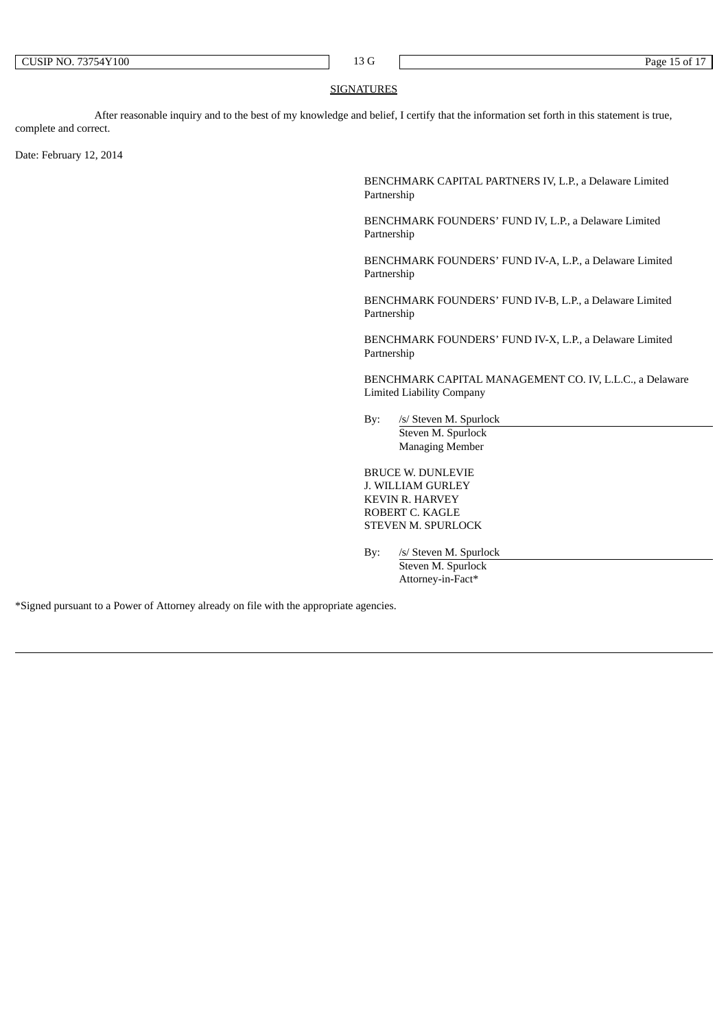$\overline{1}$  and  $\overline{1}$  and  $\overline{1}$  and  $\overline{1}$  and  $\overline{1}$  and  $\overline{1}$  and  $\overline{1}$  and  $\overline{1}$  and  $\overline{1}$  and  $\overline{1}$  and  $\overline{1}$  and  $\overline{1}$  and  $\overline{1}$  and  $\overline{1}$  and  $\overline{1}$  and  $\overline{1}$  and  $\overline{1}$  and

## SIGNATURES

After reasonable inquiry and to the best of my knowledge and belief, I certify that the information set forth in this statement is true, complete and correct.

Date: February 12, 2014

BENCHMARK CAPITAL PARTNERS IV, L.P., a Delaware Limited Partnership

BENCHMARK FOUNDERS' FUND IV, L.P., a Delaware Limited Partnership

BENCHMARK FOUNDERS' FUND IV-A, L.P., a Delaware Limited Partnership

BENCHMARK FOUNDERS' FUND IV-B, L.P., a Delaware Limited Partnership

BENCHMARK FOUNDERS' FUND IV-X, L.P., a Delaware Limited Partnership

BENCHMARK CAPITAL MANAGEMENT CO. IV, L.L.C., a Delaware Limited Liability Company

By: /s/ Steven M. Spurlock Steven M. Spurlock Managing Member

BRUCE W. DUNLEVIE J. WILLIAM GURLEY KEVIN R. HARVEY ROBERT C. KAGLE STEVEN M. SPURLOCK

By: /s/ Steven M. Spurlock Steven M. Spurlock Attorney-in-Fact\*

\*Signed pursuant to a Power of Attorney already on file with the appropriate agencies.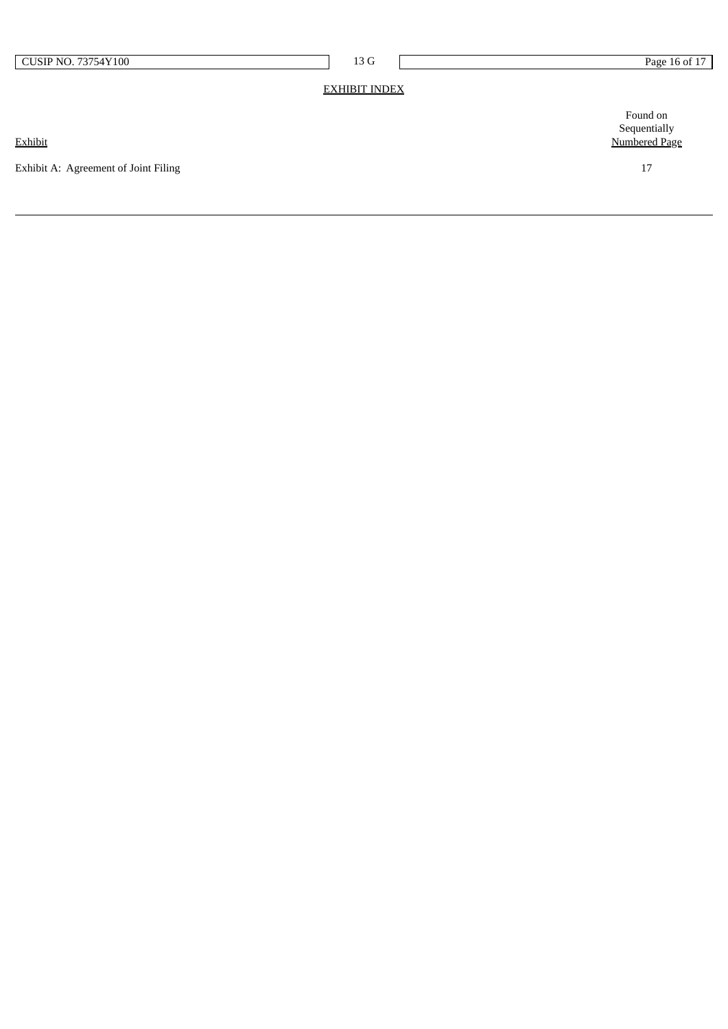| CUSIP NO. 73754Y100 |  |
|---------------------|--|
|---------------------|--|

1 3 G

## <u>EXHIBIT INDEX</u>

**Exhibit** 

Exhibit A: Agreement of Joint Filing

Found on Sequentially Numbered Page

1 7